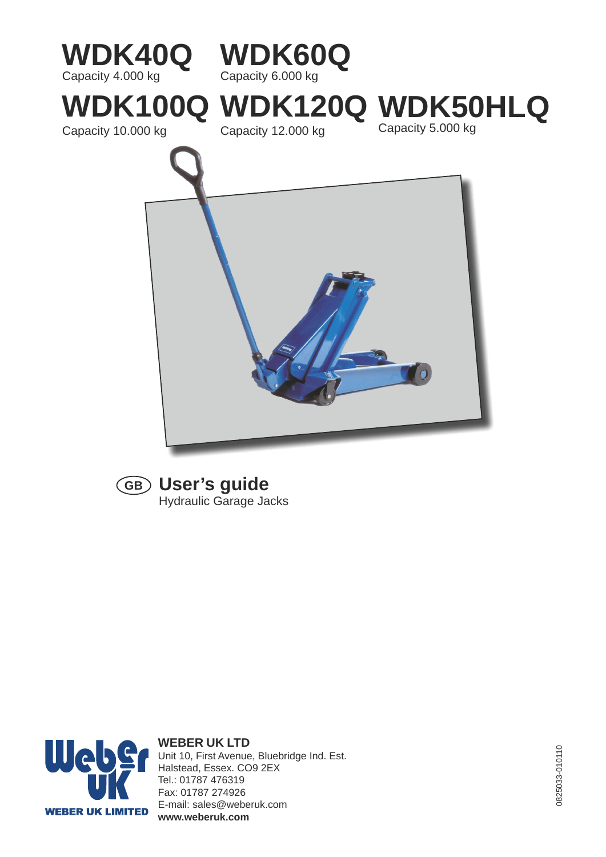



### **User's guide GB** Hydraulic Garage Jacks



#### **WEBER UK LTD** Unit 10, First Avenue, Bluebridge Ind. Est. Halstead, Essex. CO9 2EX Tel.: 01787 476319 Fax: 01787 274926 E-mail: sales@weberuk.com **www.weberuk.com**

0825033-010110 0825033-010110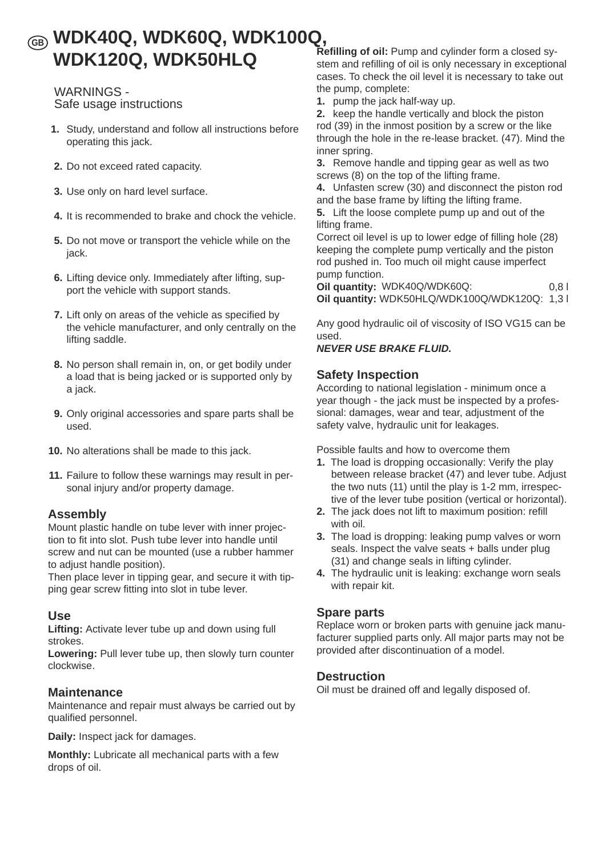# **WDK40Q, WDK60Q, WDK100Q, GB WDK120Q, WDK50HLQ**

### WARNINGS - Safe usage instructions

- **1.** Study, understand and follow all instructions before operating this jack.
- **2.** Do not exceed rated capacity.
- **3.** Use only on hard level surface.
- **4.** It is recommended to brake and chock the vehicle.
- **5.** Do not move or transport the vehicle while on the jack.
- **6.** Lifting device only. Immediately after lifting, support the vehicle with support stands.
- **7.** Lift only on areas of the vehicle as specified by the vehicle manufacturer, and only centrally on the lifting saddle.
- **8.** No person shall remain in, on, or get bodily under a load that is being jacked or is supported only by a jack.
- **9.** Only original accessories and spare parts shall be used.
- **10.** No alterations shall be made to this jack.
- **11.** Failure to follow these warnings may result in personal injury and/or property damage.

### **Assembly**

Mount plastic handle on tube lever with inner projection to fit into slot. Push tube lever into handle until screw and nut can be mounted (use a rubber hammer to adjust handle position).

Then place lever in tipping gear, and secure it with tipping gear screw fitting into slot in tube lever.

### **Use**

**Lifting:** Activate lever tube up and down using full strokes.

**Lowering:** Pull lever tube up, then slowly turn counter clockwise.

### **Maintenance**

Maintenance and repair must always be carried out by qualified personnel.

**Daily:** Inspect jack for damages.

**Monthly:** Lubricate all mechanical parts with a few drops of oil.

**Refilling of oil:** Pump and cylinder form a closed system and refilling of oil is only necessary in exceptional cases. To check the oil level it is necessary to take out the pump, complete:

**1.** pump the jack half-way up.

**2.** keep the handle vertically and block the piston rod (39) in the inmost position by a screw or the like through the hole in the re-lease bracket. (47). Mind the inner spring.

**3.** Remove handle and tipping gear as well as two screws (8) on the top of the lifting frame.

**4.** Unfasten screw (30) and disconnect the piston rod and the base frame by lifting the lifting frame.

**5.** Lift the loose complete pump up and out of the lifting frame.

Correct oil level is up to lower edge of filling hole (28) keeping the complete pump vertically and the piston rod pushed in. Too much oil might cause imperfect pump function.

**Oil quantity:** WDK40Q/WDK60Q: 0,8 l **Oil quantity:** WDK50HLQ/WDK100Q/WDK120Q: 1,3 l

Any good hydraulic oil of viscosity of ISO VG15 can be used.

#### *NEVER USE BRAKE FLUID.*

### **Safety Inspection**

According to national legislation - minimum once a year though - the jack must be inspected by a professional: damages, wear and tear, adjustment of the safety valve, hydraulic unit for leakages.

Possible faults and how to overcome them

- **1.** The load is dropping occasionally: Verify the play between release bracket (47) and lever tube. Adjust the two nuts (11) until the play is 1-2 mm, irrespective of the lever tube position (vertical or horizontal).
- **2.** The jack does not lift to maximum position: refill with oil.
- **3.** The load is dropping: leaking pump valves or worn seals. Inspect the valve seats + balls under plug (31) and change seals in lifting cylinder.
- **4.** The hydraulic unit is leaking: exchange worn seals with repair kit.

### **Spare parts**

Replace worn or broken parts with genuine jack manufacturer supplied parts only. All major parts may not be provided after discontinuation of a model.

### **Destruction**

Oil must be drained off and legally disposed of.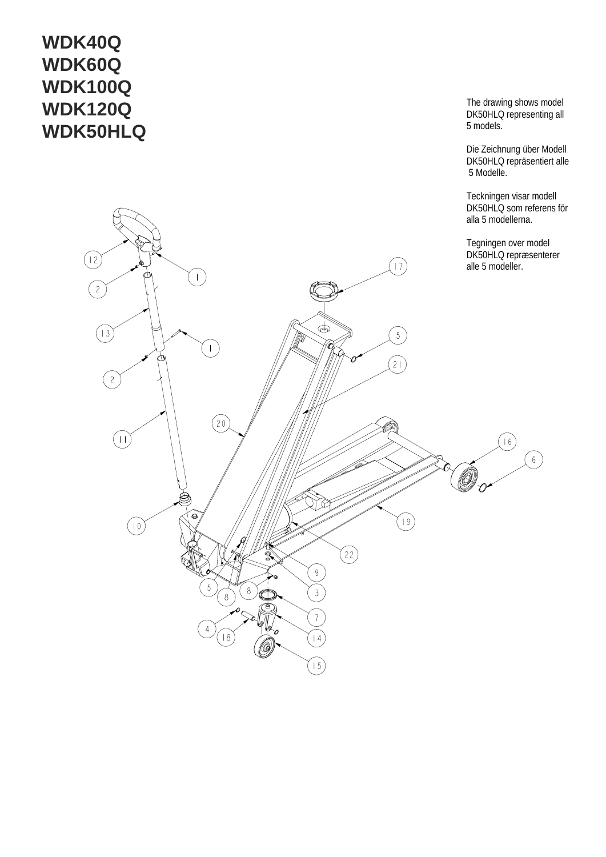# **WDK40Q WDK60Q WDK100Q WDK120Q WDK50HLQ**

The drawing shows model DK50HLQ representin g all 5 models.

Die Zeichnu ng über Modell DK50HLQ reprä sentiert alle 5 Modelle.

Teckning en visar modell DK50HLQ som referens för all a 5 modellerna.

Teg ningen over model DK50HLQ repræsenterer

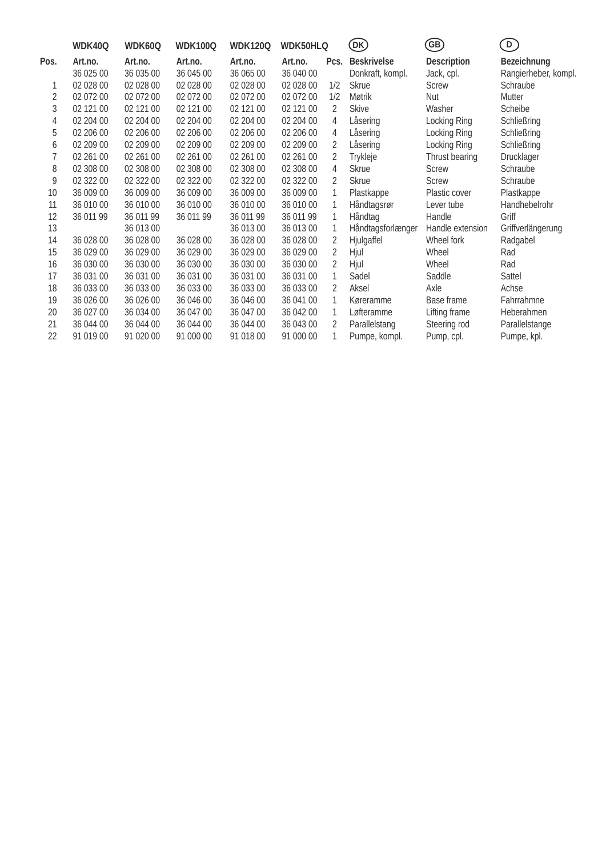|      | WDK40Q    | WDK60Q    | <b>WDK100Q</b> | <b>WDK120Q</b> | <b>WDK50HLQ</b> |      | (DK)               | GB)                | $\overline{D}$       |
|------|-----------|-----------|----------------|----------------|-----------------|------|--------------------|--------------------|----------------------|
| Pos. | Art.no.   | Art.no.   | Art.no.        | Art.no.        | Art.no.         | Pcs. | <b>Beskrivelse</b> | <b>Description</b> | <b>Bezeichnung</b>   |
|      | 36 025 00 | 36 035 00 | 36 045 00      | 36 065 00      | 36 040 00       |      | Donkraft, kompl.   | Jack, cpl.         | Rangierheber, kompl. |
|      | 02 028 00 | 02 028 00 | 02 028 00      | 02 028 00      | 02 028 00       | 1/2  | <b>Skrue</b>       | Screw              | Schraube             |
| 2    | 02 072 00 | 02 072 00 | 02 072 00      | 02 072 00      | 02 072 00       | 1/2  | Møtrik             | <b>Nut</b>         | Mutter               |
| 3    | 02 121 00 | 02 121 00 | 02 121 00      | 02 121 00      | 02 121 00       | 2    | <b>Skive</b>       | Washer             | Scheibe              |
| 4    | 02 204 00 | 02 204 00 | 02 204 00      | 02 204 00      | 02 204 00       | 4    | Låsering           | Locking Ring       | Schließring          |
| 5    | 02 206 00 | 02 206 00 | 02 206 00      | 02 206 00      | 02 206 00       | 4    | Låsering           | Locking Ring       | Schließring          |
| 6    | 02 209 00 | 02 209 00 | 02 209 00      | 02 209 00      | 02 209 00       | 2    | Låsering           | Locking Ring       | Schließring          |
| 7    | 02 261 00 | 02 261 00 | 02 261 00      | 02 261 00      | 02 261 00       | 2    | Trykleje           | Thrust bearing     | Drucklager           |
| 8    | 02 308 00 | 02 308 00 | 02 308 00      | 02 308 00      | 02 308 00       | 4    | <b>Skrue</b>       | Screw              | Schraube             |
| 9    | 02 322 00 | 02 322 00 | 02 322 00      | 02 322 00      | 02 322 00       | 2    | <b>Skrue</b>       | Screw              | Schraube             |
| 10   | 36 009 00 | 36 009 00 | 36 009 00      | 36 009 00      | 36 009 00       | 1    | Plastkappe         | Plastic cover      | Plastkappe           |
| 11   | 36 010 00 | 36 010 00 | 36 010 00      | 36 010 00      | 36 010 00       | 1    | Håndtagsrør        | Lever tube         | Handhebelrohr        |
| 12   | 36 011 99 | 36 011 99 | 36 011 99      | 36 011 99      | 36 011 99       | 1    | Håndtag            | Handle             | Griff                |
| 13   |           | 36 013 00 |                | 36 013 00      | 36 013 00       | 1    | Håndtagsforlænger  | Handle extension   | Griffverlängerung    |
| 14   | 36 028 00 | 36 028 00 | 36 028 00      | 36 028 00      | 36 028 00       | 2    | Hjulgaffel         | Wheel fork         | Radgabel             |
| 15   | 36 029 00 | 36 029 00 | 36 029 00      | 36 029 00      | 36 029 00       | 2    | Hjul               | Wheel              | Rad                  |
| 16   | 36 030 00 | 36 030 00 | 36 030 00      | 36 030 00      | 36 030 00       | 2    | Hjul               | Wheel              | Rad                  |
| 17   | 36 031 00 | 36 031 00 | 36 031 00      | 36 031 00      | 36 031 00       | 1    | Sadel              | Saddle             | Sattel               |
| 18   | 36 033 00 | 36 033 00 | 36 033 00      | 36 033 00      | 36 033 00       | 2    | Aksel              | Axle               | Achse                |
| 19   | 36 026 00 | 36 026 00 | 36 046 00      | 36 046 00      | 36 041 00       | 1    | Køreramme          | Base frame         | Fahrrahmne           |
| 20   | 36 027 00 | 36 034 00 | 36 047 00      | 36 047 00      | 36 042 00       | 1    | Løfteramme         | Lifting frame      | Heberahmen           |
| 21   | 36 044 00 | 36 044 00 | 36 044 00      | 36 044 00      | 36 043 00       | 2    | Parallelstang      | Steering rod       | Parallelstange       |
| 22   | 91 019 00 | 91 020 00 | 91 000 00      | 91 018 00      | 91 000 00       | 1    | Pumpe, kompl.      | Pump, cpl.         | Pumpe, kpl.          |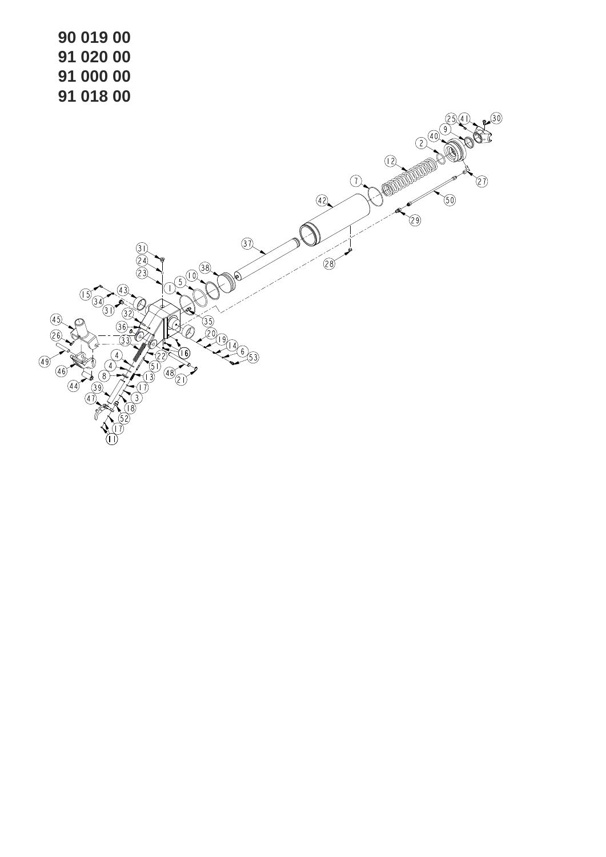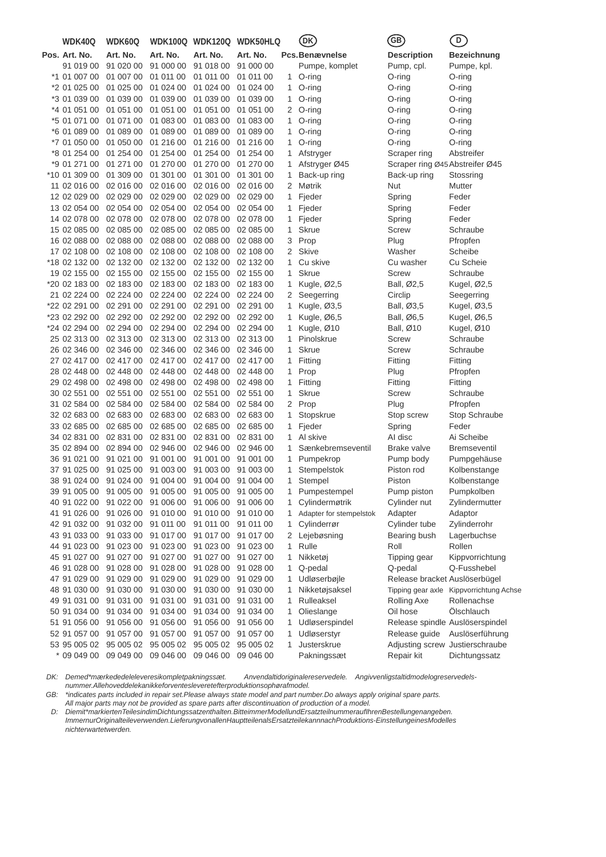| WDK40Q        | WDK60Q    |           |                                                      | WDK100Q WDK120Q WDK50HLQ |                | DK)                      | GB)                             | $\left[ \mathsf{D}\right]$              |
|---------------|-----------|-----------|------------------------------------------------------|--------------------------|----------------|--------------------------|---------------------------------|-----------------------------------------|
| Pos. Art. No. | Art. No.  | Art. No.  | Art. No.                                             | Art. No.                 |                | Pcs.Benævnelse           | <b>Description</b>              | Bezeichnung                             |
| 91 019 00     | 91 020 00 | 91 000 00 | 91 018 00                                            | 91 000 00                |                | Pumpe, komplet           | Pump, cpl.                      | Pumpe, kpl.                             |
| *1 01 007 00  | 01 007 00 | 01 011 00 | 01 011 00                                            | 01 011 00                | 1              | O-ring                   | O-ring                          | O-ring                                  |
| *2 01 025 00  | 01 025 00 | 01 024 00 | 01 024 00                                            | 01 024 00                | 1              | O-ring                   | O-ring                          | O-ring                                  |
| *3 01 039 00  | 01 039 00 | 01 039 00 | 01 039 00                                            | 01 039 00                | 1.             | O-ring                   | O-ring                          | O-ring                                  |
| *4 01 051 00  | 01 051 00 | 01 051 00 | 01 051 00                                            | 01 051 00                | 2              | O-ring                   | O-ring                          | O-ring                                  |
| *5 01 071 00  | 01 071 00 | 01 083 00 | 01 083 00                                            | 01 083 00                | 1              | O-ring                   | O-ring                          | O-ring                                  |
| *6 01 089 00  | 01 089 00 | 01 089 00 | 01 089 00                                            | 01 089 00                | 1              | O-ring                   | $O$ -ring                       | O-ring                                  |
| *7 01 050 00  | 01 050 00 | 01 216 00 | 01 216 00                                            | 01 216 00                | 1              | $O$ -ring                | O-ring                          | O-ring                                  |
| *8 01 254 00  | 01 254 00 | 01 254 00 | 01 254 00                                            | 01 254 00                | 1              | Afstryger                | Scraper ring                    | Abstreifer                              |
| *9 01 271 00  | 01 271 00 | 01 270 00 | 01 270 00                                            | 01 270 00                | 1              | Afstryger Ø45            | Scraper ring Ø45 Abstreifer Ø45 |                                         |
| *10 01 309 00 | 01 309 00 | 01 301 00 | 01 301 00                                            | 01 301 00                | 1              | Back-up ring             | Back-up ring                    | Stossring                               |
| 11 02 016 00  | 02 016 00 | 02 016 00 | 02 016 00                                            | 02 016 00                | 2              | Møtrik                   | Nut                             | Mutter                                  |
| 12 02 029 00  | 02 029 00 | 02 029 00 | 02 029 00                                            | 02 029 00                | 1              | Fjeder                   | Spring                          | Feder                                   |
| 13 02 054 00  | 02 054 00 | 02 054 00 | 02 054 00                                            | 02 054 00                | 1.             | Fjeder                   | Spring                          | Feder                                   |
| 14 02 078 00  | 02 078 00 | 02 078 00 | 02 078 00                                            | 02 078 00                | 1              | Fjeder                   | Spring                          | Feder                                   |
| 15 02 085 00  | 02 085 00 | 02 085 00 | 02 085 00                                            | 02 085 00                | 1              | <b>Skrue</b>             | Screw                           | Schraube                                |
| 16 02 088 00  | 02 088 00 | 02 088 00 | 02 088 00                                            | 02 088 00                | 3              | Prop                     | Plug                            | Pfropfen                                |
| 17 02 108 00  | 02 108 00 | 02 108 00 | 02 108 00                                            | 02 108 00                | $\overline{2}$ | <b>Skive</b>             | Washer                          | Scheibe                                 |
| *18 02 132 00 | 02 132 00 | 02 132 00 | 02 132 00                                            | 02 132 00                | 1.             | Cu skive                 | Cu washer                       | Cu Scheie                               |
| 19 02 155 00  | 02 155 00 | 02 155 00 | 02 155 00                                            | 02 155 00                | 1              | <b>Skrue</b>             | Screw                           | Schraube                                |
| *20 02 183 00 | 02 183 00 | 02 183 00 | 02 183 00                                            | 02 183 00                | 1              | Kugle, $\varnothing$ 2,5 | Ball, Ø2,5                      | Kugel, Ø2,5                             |
| 21 02 224 00  | 02 224 00 | 02 224 00 | 02 224 00                                            | 02 224 00                | 2              | Seegerring               | Circlip                         | Seegerring                              |
| *22 02 291 00 | 02 291 00 | 02 291 00 | 02 291 00                                            | 02 291 00                | 1              | Kugle, $\varnothing$ 3,5 | Ball, Ø3,5                      | Kugel, Ø3,5                             |
| *23 02 292 00 | 02 292 00 | 02 292 00 | 02 292 00                                            | 02 292 00                | 1              | Kugle, Ø6,5              | Ball, Ø6,5                      | Kugel, Ø6,5                             |
| *24 02 294 00 | 02 294 00 | 02 294 00 | 02 294 00                                            | 02 294 00                | 1              | Kugle, Ø10               | Ball, Ø10                       | Kugel, Ø10                              |
| 25 02 313 00  | 02 313 00 | 02 313 00 | 02 313 00                                            | 02 313 00                | 1              | Pinolskrue               | Screw                           | Schraube                                |
| 26 02 346 00  | 02 346 00 | 02 346 00 | 02 346 00                                            | 02 346 00                | 1              | Skrue                    | Screw                           | Schraube                                |
| 27 02 417 00  | 02 417 00 | 02 417 00 | 02 417 00                                            | 02 417 00                | 1.             | Fitting                  | Fitting                         | Fitting                                 |
| 28 02 448 00  | 02 448 00 | 02 448 00 | 02 448 00                                            | 02 448 00                | 1              | Prop                     | Plug                            | Pfropfen                                |
| 29 02 498 00  | 02 498 00 | 02 498 00 | 02 498 00                                            | 02 498 00                | 1              | Fitting                  | Fitting                         | Fitting                                 |
| 30 02 551 00  | 02 551 00 | 02 551 00 | 02 551 00                                            | 02 551 00                | 1              | Skrue                    | Screw                           | Schraube                                |
| 31 02 584 00  | 02 584 00 | 02 584 00 | 02 584 00                                            | 02 584 00                | $\overline{2}$ | Prop                     | Plug                            | Pfropfen                                |
| 32 02 683 00  | 02 683 00 | 02 683 00 | 02 683 00                                            | 02 683 00                | 1              | Stopskrue                | Stop screw                      | Stop Schraube                           |
| 33 02 685 00  | 02 685 00 | 02 685 00 | 02 685 00                                            | 02 685 00                | 1.             | Fjeder                   | Spring                          | Feder                                   |
| 34 02 831 00  | 02 831 00 | 02 831 00 | 02 831 00                                            | 02 831 00                | 1              | Al skive                 | Al disc                         | Ai Scheibe                              |
| 35 02 894 00  | 02 894 00 | 02 946 00 | 02 946 00                                            | 02 946 00                | 1              | Sænkebremseventil        | Brake valve                     | <b>Bremseventil</b>                     |
| 36 91 021 00  | 91 021 00 | 91 001 00 | 91 001 00                                            | 91 001 00                | 1              | Pumpekrop                | Pump body                       | Pumpgehäuse                             |
| 37 91 025 00  | 91 025 00 | 91 003 00 | 91 003 00                                            | 91 003 00                | 1              | Stempelstok              | Piston rod                      | Kolbenstange                            |
| 38 91 024 00  | 91 024 00 | 91 004 00 | 91 004 00                                            | 91 004 00                | 1.             | Stempel                  | Piston                          | Kolbenstange                            |
|               |           |           | 39 91 005 00 91 005 00 91 005 00 91 005 00 91 005 00 |                          |                | 1 Pumpestempel           | Pump piston                     | Pumpkolben                              |
| 40 91 022 00  | 91 022 00 | 91 006 00 | 91 006 00 91 006 00                                  |                          | 1.             | Cylindermøtrik           | Cylinder nut                    | Zylindermutter                          |
| 41 91 026 00  | 91 026 00 | 91 010 00 | 91 010 00 91 010 00                                  |                          | 1.             | Adapter for stempelstok  | Adapter                         | Adaptor                                 |
| 42 91 032 00  | 91 032 00 | 91 011 00 | 91 011 00                                            | 91 011 00                | 1              | Cylinderrør              | Cylinder tube                   | Zylinderrohr                            |
| 43 91 033 00  | 91 033 00 | 91 017 00 | 91 017 00 91 017 00                                  |                          | 2              | Lejebøsning              | Bearing bush                    | Lagerbuchse                             |
| 44 91 023 00  | 91 023 00 | 91 023 00 | 91 023 00 91 023 00                                  |                          | 1              | Rulle                    | Roll                            | Rollen                                  |
| 45 91 027 00  | 91 027 00 | 91 027 00 | 91 027 00                                            | 91 027 00                | 1              | Nikketøj                 | Tipping gear                    | Kippvorrichtung                         |
| 46 91 028 00  | 91 028 00 | 91 028 00 | 91 028 00 91 028 00                                  |                          | 1              | Q-pedal                  | Q-pedal                         | Q-Fusshebel                             |
| 47 91 029 00  | 91 029 00 | 91 029 00 | 91 029 00 91 029 00                                  |                          | 1              | Udløserbøjle             | Release bracket Auslöserbügel   |                                         |
| 48 91 030 00  | 91 030 00 | 91 030 00 | 91 030 00                                            | 91 030 00                | 1              | Nikketøjsaksel           |                                 | Tipping gear axle Kippvorrichtung Achse |
| 49 91 031 00  | 91 031 00 | 91 031 00 | 91 031 00                                            | 91 031 00                | 1              | Rulleaksel               | <b>Rolling Axe</b>              | Rollenachse                             |
| 50 91 034 00  | 91 034 00 | 91 034 00 | 91 034 00 91 034 00                                  |                          | 1              | Olieslange               | Oil hose                        | Ölschlauch                              |
| 51 91 056 00  | 91 056 00 | 91 056 00 | 91 056 00 91 056 00                                  |                          | 1              | Udløserspindel           | Release spindle Auslöserspindel |                                         |
| 52 91 057 00  | 91 057 00 | 91 057 00 | 91 057 00                                            | 91 057 00                | 1              | Udløserstyr              | Release guide                   | Auslöserführung                         |
| 53 95 005 02  | 95 005 02 | 95 005 02 | 95 005 02 95 005 02                                  |                          | 1              | Justerskrue              | Adjusting screw Justierschraube |                                         |
| * 09 049 00   | 09 049 00 | 09 046 00 | 09 046 00                                            | 09 046 00                |                | Pakningssæt              | Repair kit                      | Dichtungssatz                           |

*DK: Demed\*mærkededeleleveresikompletpakningssæt. Anvendaltidoriginalereservedele. Angivvenligstaltidmodelogreservedelsnummer.Allehoveddelekanikkeforventesleveretefterproduktionsophørafmodel.*

*GB: \*indicates parts included in repair set.Please always state model and part number.Do always apply original spare parts.*

*All major parts may not be provided as spare parts after discontinuation of production of a model.*

*D: Diemit\*markiertenTeilesindimDichtungssatzenthalten.BitteimmerModellundErsatzteilnummeraufIhrenBestellungenangeben. ImmernurOriginalteileverwenden.LieferungvonallenHauptteilenalsErsatzteilekannnachProduktions-EinstellungeinesModelles nichterwartetwerden.*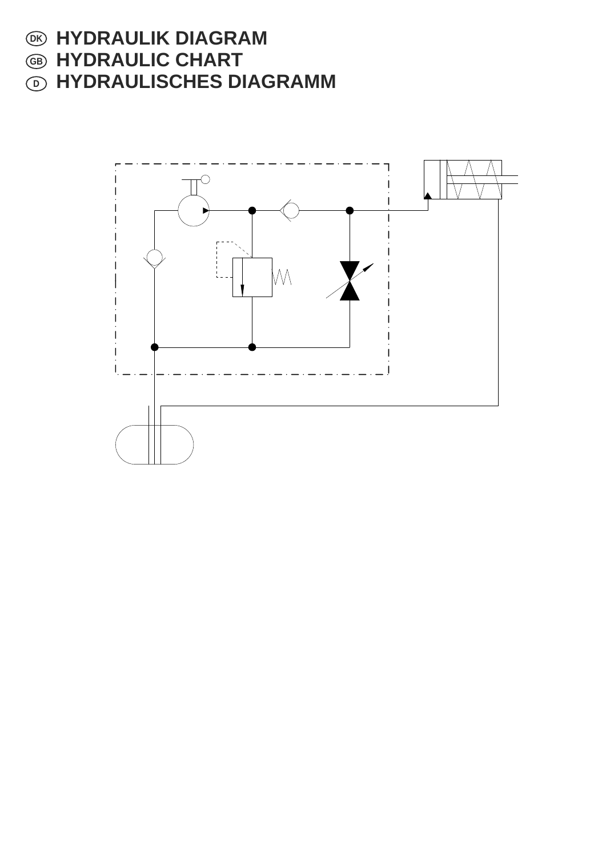- $\odot$  HYDRAULIK DIAGRAM
- **HYDRAULIC CHART GB**
- **HYDRAULISCHES DIAGRAMM D**

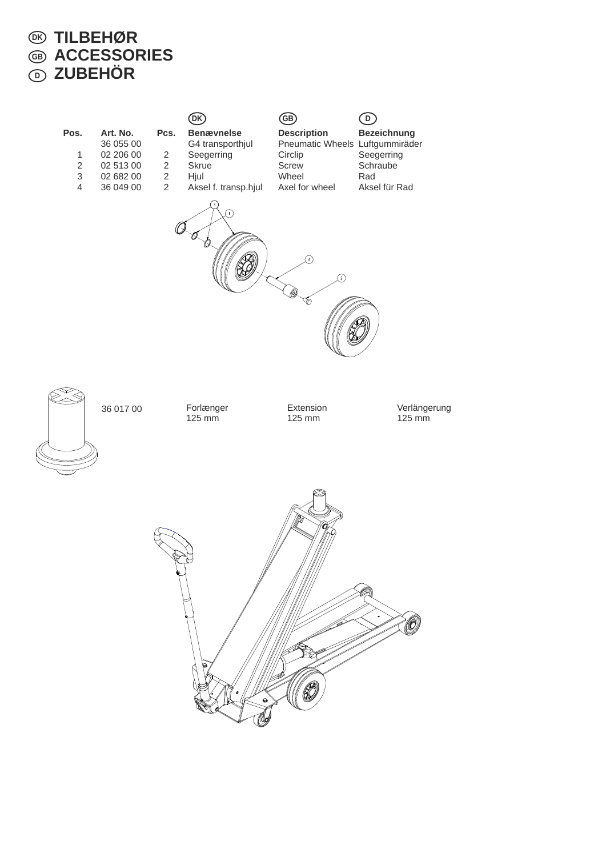#### **TILBEHØR ACCESSORIES ZUBEHÖR DK GB D**

| Pos.<br>$\mathbf{1}$<br>$\sqrt{2}$<br>$\ensuremath{\mathsf{3}}$ | Art. No.<br>36 055 00<br>02 206 00<br>02 513 00<br>02 682 00 | Pcs.<br>$\overline{c}$<br>$\overline{2}$<br>$\overline{c}$ | DK)<br><b>Benævnelse</b><br>G4 transporthjul<br>Seegerring<br><b>Skrue</b><br>Hjul | (GB)<br><b>Description</b><br>Pneumatic Wheels Luftgummiräder<br>Circlip<br>Screw<br>Wheel | ಲ<br><b>Bezeichnung</b><br>Seegerring<br>Schraube<br>Rad |  |
|-----------------------------------------------------------------|--------------------------------------------------------------|------------------------------------------------------------|------------------------------------------------------------------------------------|--------------------------------------------------------------------------------------------|----------------------------------------------------------|--|
| $\overline{4}$                                                  | 36 049 00                                                    | $\overline{2}$                                             | Aksel f. transp.hjul<br>(+)                                                        | Axel for wheel<br>∩<br>Ω<br>ৡ                                                              | Aksel für Rad                                            |  |
|                                                                 | 36 017 00                                                    |                                                            | Forlænger<br>$125 \text{ mm}$                                                      | Extension<br>125 mm                                                                        | Verlängerung<br>$125 \,\mathrm{mm}$                      |  |
|                                                                 |                                                              |                                                            | p<br>6<br>⊖<br>W9                                                                  | ∕⊗<br>$\mathscr{C}$                                                                        | Ò                                                        |  |